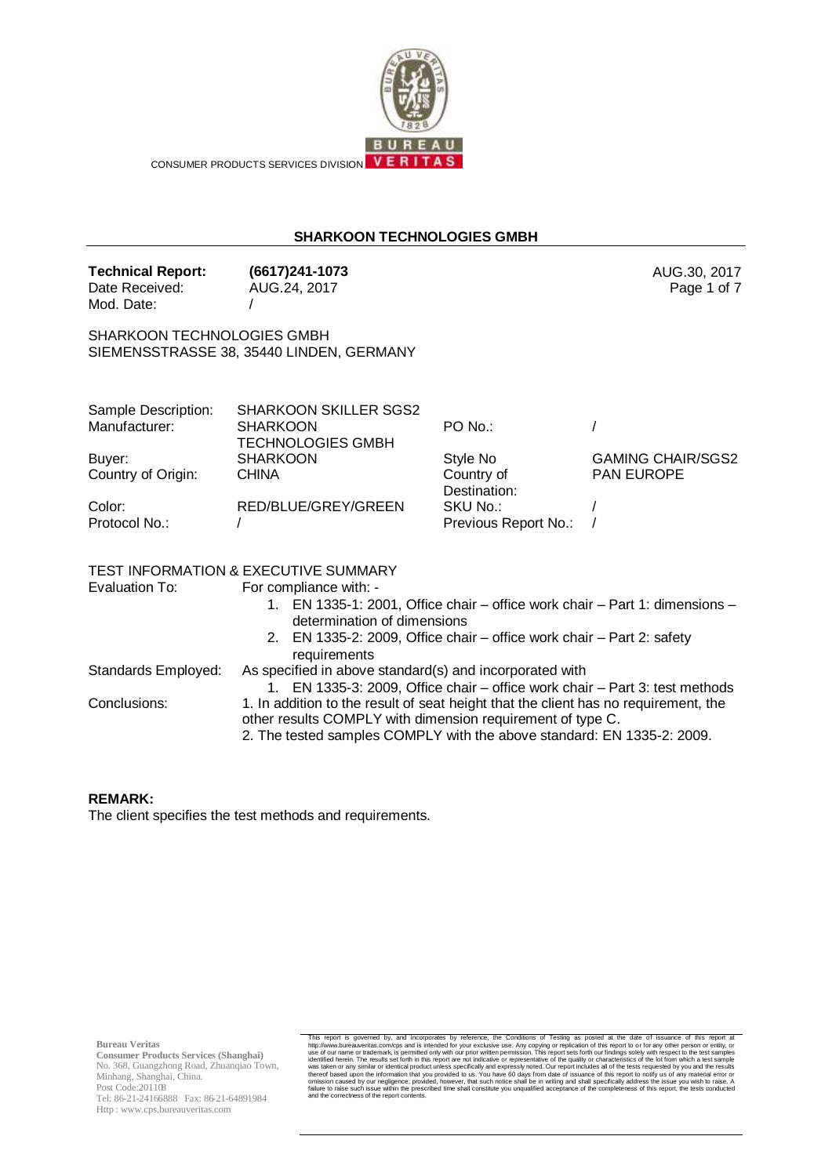

CONSUMER PRODUCTS SERVICES DIVISION VERITAS

## **SHARKOON TECHNOLOGIES GMBH**

**Technical Report: (6617)241-1073** AUG.30, 2017 Date Received: Mod. Date: AUG.24, 2017 /

SHARKOON TECHNOLOGIES GMBH SIEMENSSTRASSE 38, 35440 LINDEN, GERMANY

| Sample Description: | <b>SHARKOON SKILLER SGS2</b> |                      |                          |
|---------------------|------------------------------|----------------------|--------------------------|
| Manufacturer:       | <b>SHARKOON</b>              | $PO$ No.:            |                          |
|                     | <b>TECHNOLOGIES GMBH</b>     |                      |                          |
| Buyer:              | <b>SHARKOON</b>              | Style No             | <b>GAMING CHAIR/SGS2</b> |
| Country of Origin:  | <b>CHINA</b>                 | Country of           | <b>PAN EUROPE</b>        |
|                     |                              | Destination:         |                          |
| Color:              | RED/BLUE/GREY/GREEN          | SKU No.:             |                          |
| Protocol No.:       |                              | Previous Report No.: |                          |
|                     |                              |                      |                          |

### TEST INFORMATION & EXECUTIVE SUMMARY

Evaluation To: For compliance with: -

1. EN 1335-1: 2001, Office chair – office work chair – Part 1: dimensions – determination of dimensions

Page 1 of 7

|                     | 2. EN 1335-2: 2009, Office chair – office work chair – Part 2: safety               |
|---------------------|-------------------------------------------------------------------------------------|
|                     | requirements                                                                        |
| Standards Employed: | As specified in above standard(s) and incorporated with                             |
|                     | 1. EN 1335-3: 2009, Office chair – office work chair – Part 3: test methods         |
| Conclusions:        | 1. In addition to the result of seat height that the client has no requirement, the |
|                     | other results COMPLY with dimension requirement of type C.                          |

2. The tested samples COMPLY with the above standard: EN 1335-2: 2009.

#### **REMARK:**

The client specifies the test methods and requirements.

**Bureau Veritas**

**Consumer Products Services (Shanghai)** No. 368, Guangzhong Road, Zhuanqiao Town, Minhang, Shanghai, China. Post Code:201108 Tel: 86-21-24166888 Fax: 86-21-64891984 Http : www.cps.bureauveritas.com

This report is governed by, and incorporates by reference, the Conditions of Testing as posted at the date of issuarce of this report in the David Diffusions of Testing as one of this report is on or for any other person o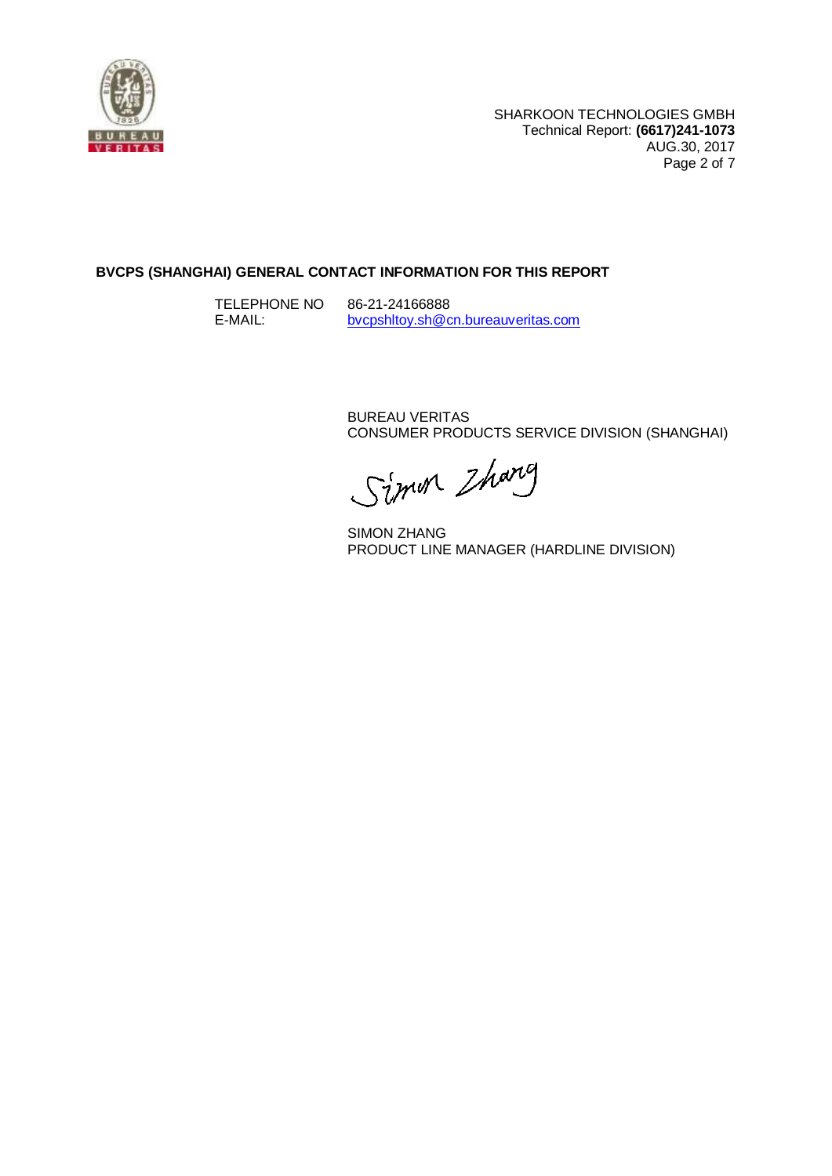

# **BVCPS (SHANGHAI) GENERAL CONTACT INFORMATION FOR THIS REPORT**

TELEPHONE NO E-MAIL: 86-21-24166888 [bvcpshltoy.sh@cn.bureauveritas.com](mailto:bvcpshltoy.sh@cn.bureauveritas.com)

> BUREAU VERITAS CONSUMER PRODUCTS SERVICE DIVISION (SHANGHAI)

Simon Zharg

SIMON ZHANG PRODUCT LINE MANAGER (HARDLINE DIVISION)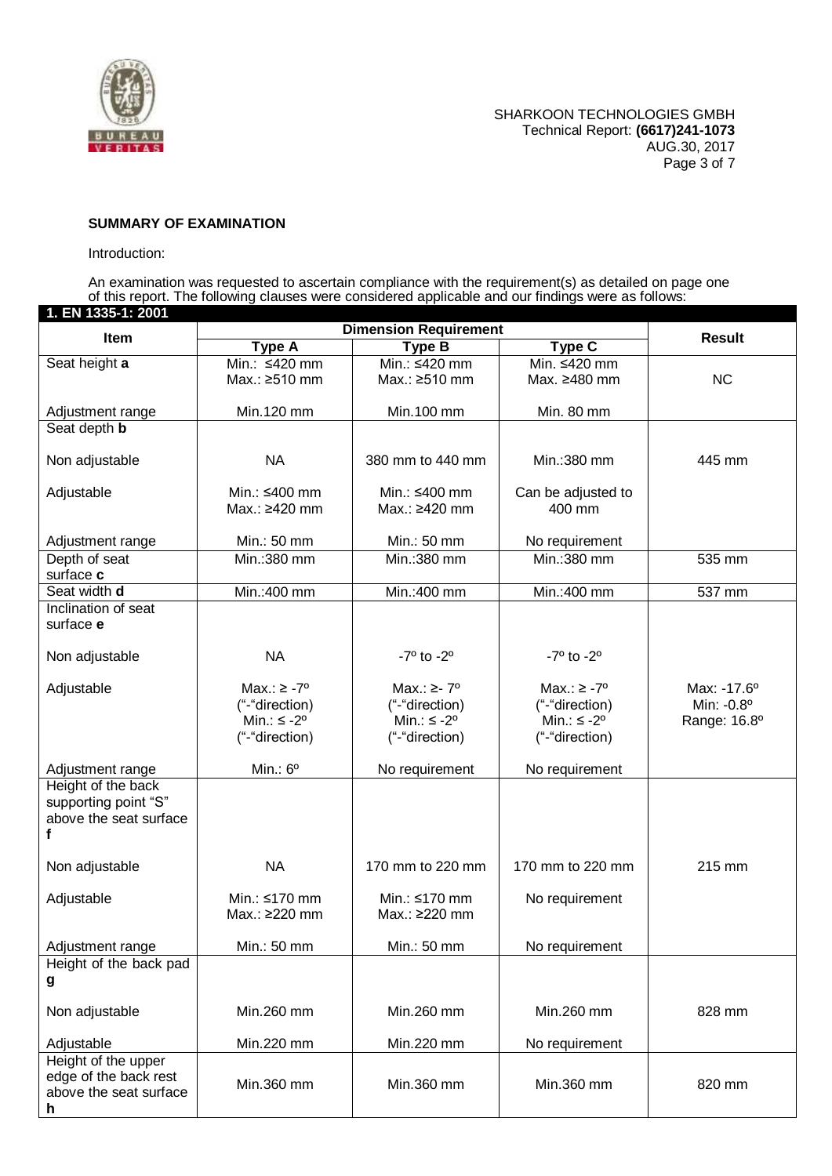

## **SUMMARY OF EXAMINATION**

### Introduction:

An examination was requested to ascertain compliance with the requirement(s) as detailed on page one of this report. The following clauses were considered applicable and our findings were as follows:

| 1. EN 1335-1: 2001         |                                |                                |                               |                      |
|----------------------------|--------------------------------|--------------------------------|-------------------------------|----------------------|
| Item                       | <b>Dimension Requirement</b>   |                                | <b>Result</b>                 |                      |
| Seat height a              | <b>Type A</b><br>Min.: ≤420 mm | <b>Type B</b><br>Min.: ≤420 mm | <b>Type C</b><br>Min. ≤420 mm |                      |
|                            | Max.: ≥510 mm                  | Max.: ≥510 mm                  | Max. ≥480 mm                  | <b>NC</b>            |
|                            |                                |                                |                               |                      |
| Adjustment range           | Min.120 mm                     | Min.100 mm                     | Min. 80 mm                    |                      |
| Seat depth <b>b</b>        |                                |                                |                               |                      |
|                            | <b>NA</b>                      | 380 mm to 440 mm               | Min.:380 mm                   | 445 mm               |
| Non adjustable             |                                |                                |                               |                      |
| Adjustable                 | Min.: ≤400 mm                  | Min.: ≤400 mm                  | Can be adjusted to            |                      |
|                            | Max.: ≥420 mm                  | Max.: ≥420 mm                  | 400 mm                        |                      |
|                            |                                |                                |                               |                      |
| Adjustment range           | Min.: 50 mm                    | Min.: 50 mm                    | No requirement                |                      |
| Depth of seat<br>surface c | Min.:380 mm                    | Min.:380 mm                    | Min.: 380 mm                  | 535 mm               |
| Seat width d               | Min.: 400 mm                   | Min.:400 mm                    | Min.:400 mm                   | 537 mm               |
| Inclination of seat        |                                |                                |                               |                      |
| surface e                  |                                |                                |                               |                      |
|                            |                                |                                |                               |                      |
| Non adjustable             | <b>NA</b>                      | $-7^{\circ}$ to $-2^{\circ}$   | $-7^{\circ}$ to $-2^{\circ}$  |                      |
| Adjustable                 | Max.: $\ge -7^{\circ}$         | Max.: $\ge$ - 7°               | Max.: $\ge -7^{\circ}$        | Max: $-17.6^{\circ}$ |
|                            | ("-"direction)                 | ("-"direction)                 | ("-"direction)                | Min: -0.8°           |
|                            | Min.: $\leq -2^{\circ}$        | Min.: $\leq$ -2°               | Min.: $\leq$ -2°              | Range: 16.8°         |
|                            | ("-"direction)                 | ("-"direction)                 | ("-"direction)                |                      |
| Adjustment range           | Min.: $6^{\circ}$              | No requirement                 | No requirement                |                      |
| Height of the back         |                                |                                |                               |                      |
| supporting point "S"       |                                |                                |                               |                      |
| above the seat surface     |                                |                                |                               |                      |
| f                          |                                |                                |                               |                      |
| Non adjustable             | <b>NA</b>                      | 170 mm to 220 mm               | 170 mm to 220 mm              | 215 mm               |
|                            |                                |                                |                               |                      |
| Adjustable                 | Min.: ≤170 mm                  | Min.: ≤170 mm                  | No requirement                |                      |
|                            | Max.: ≥220 mm                  | Max.: ≥220 mm                  |                               |                      |
| Adjustment range           | Min.: 50 mm                    | Min.: 50 mm                    | No requirement                |                      |
| Height of the back pad     |                                |                                |                               |                      |
| g                          |                                |                                |                               |                      |
|                            | Min.260 mm                     | Min.260 mm                     | Min.260 mm                    | 828 mm               |
| Non adjustable             |                                |                                |                               |                      |
| Adjustable                 | Min.220 mm                     | Min.220 mm                     | No requirement                |                      |
| Height of the upper        |                                |                                |                               |                      |
| edge of the back rest      | Min.360 mm                     | Min.360 mm                     | Min.360 mm                    | 820 mm               |
| above the seat surface     |                                |                                |                               |                      |
| h                          |                                |                                |                               |                      |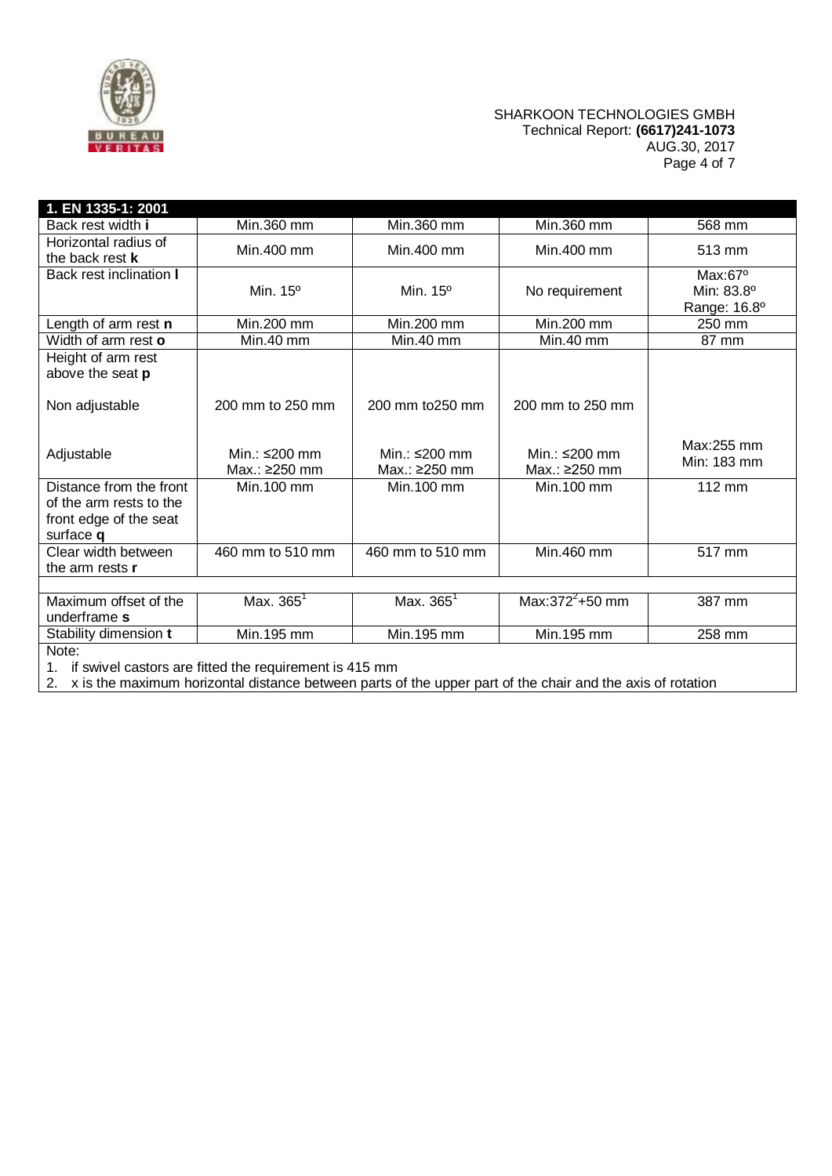

## SHARKOON TECHNOLOGIES GMBH Technical Report: **(6617)241-1073** AUG.30, 2017 Page 4 of 7

| 1. EN 1335-1: 2001                                                                        |                                |                                |                                |                                                |
|-------------------------------------------------------------------------------------------|--------------------------------|--------------------------------|--------------------------------|------------------------------------------------|
| Back rest width i                                                                         | Min.360 mm                     | Min.360 mm                     | Min.360 mm                     | 568 mm                                         |
| Horizontal radius of<br>the back rest <b>k</b>                                            | Min.400 mm                     | Min.400 mm                     | Min.400 mm                     | 513 mm                                         |
| Back rest inclination I                                                                   | Min. 15 <sup>o</sup>           | Min. 15 <sup>o</sup>           | No requirement                 | $Max:67^{\circ}$<br>Min: 83.8°<br>Range: 16.8° |
| Length of arm rest n                                                                      | Min.200 mm                     | Min.200 mm                     | Min.200 mm                     | 250 mm                                         |
| Width of arm rest o                                                                       | Min.40 mm                      | Min.40 mm                      | Min.40 mm                      | 87 mm                                          |
| Height of arm rest<br>above the seat p                                                    |                                |                                |                                |                                                |
| Non adjustable                                                                            | 200 mm to 250 mm               | 200 mm to 250 mm               | 200 mm to 250 mm               |                                                |
| Adjustable                                                                                | Min.: ≤200 mm<br>Max.: ≥250 mm | Min.: ≤200 mm<br>Max.: ≥250 mm | Min.: ≤200 mm<br>Max.: ≥250 mm | Max:255 mm<br>Min: 183 mm                      |
| Distance from the front<br>of the arm rests to the<br>front edge of the seat<br>surface q | Min.100 mm                     | Min.100 mm                     | Min.100 mm                     | 112 mm                                         |
| Clear width between<br>the arm rests <b>r</b>                                             | 460 mm to 510 mm               | 460 mm to 510 mm               | Min.460 mm                     | 517 mm                                         |
|                                                                                           |                                |                                |                                |                                                |
| Maximum offset of the<br>underframe s                                                     | Max. $365^{\circ}$             | Max. 365 <sup>1</sup>          | Max: $372^{2}+50$ mm           | 387 mm                                         |
| Stability dimension t                                                                     | Min.195 mm                     | Min.195 mm                     | Min.195 mm                     | 258 mm                                         |
| Note:<br>1. if swivel castors are fitted the requirement is 415 mm                        |                                |                                |                                |                                                |

2. x is the maximum horizontal distance between parts of the upper part of the chair and the axis of rotation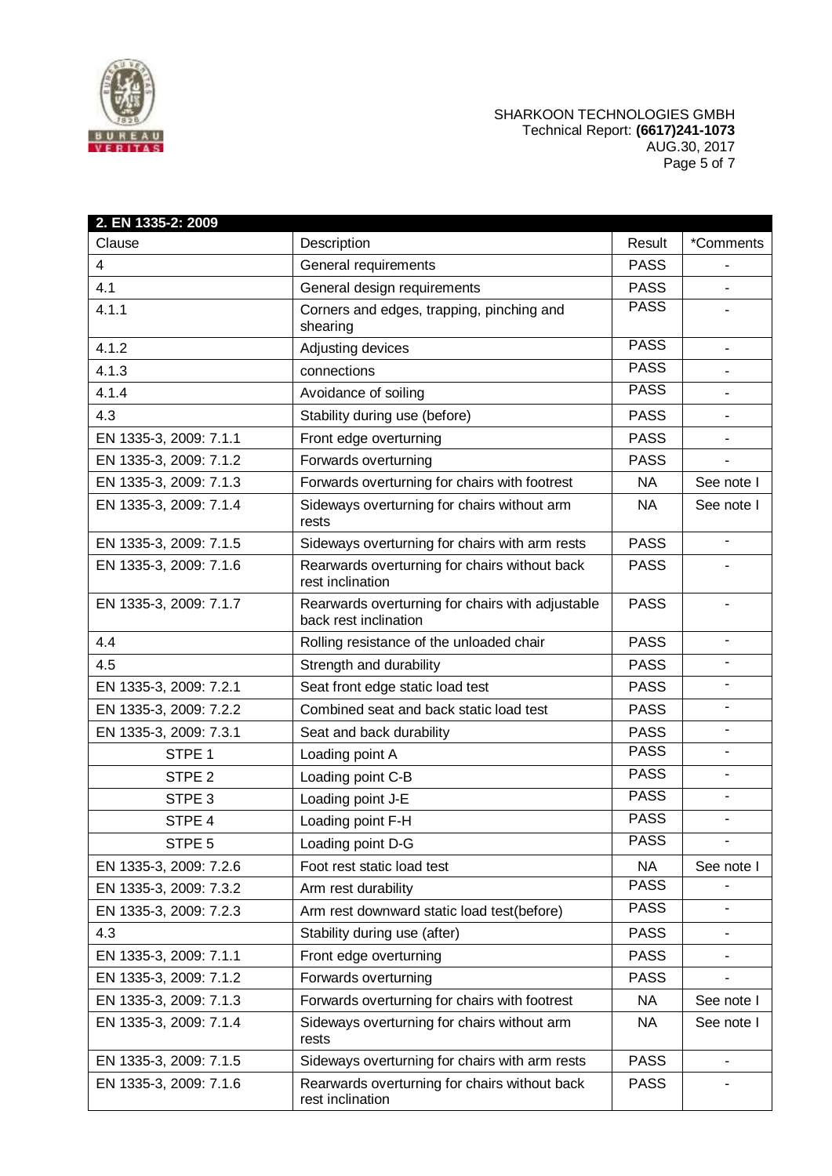

## SHARKOON TECHNOLOGIES GMBH Technical Report: **(6617)241-1073** AUG.30, 2017 Page 5 of 7

| 2. EN 1335-2: 2009     |                                                                           |             |            |
|------------------------|---------------------------------------------------------------------------|-------------|------------|
| Clause                 | Description                                                               | Result      | *Comments  |
| 4                      | General requirements                                                      | <b>PASS</b> |            |
| 4.1                    | General design requirements                                               | <b>PASS</b> |            |
| 4.1.1                  | Corners and edges, trapping, pinching and<br>shearing                     | <b>PASS</b> |            |
| 4.1.2                  | Adjusting devices                                                         | <b>PASS</b> |            |
| 4.1.3                  | connections                                                               | <b>PASS</b> |            |
| 4.1.4                  | Avoidance of soiling                                                      | <b>PASS</b> |            |
| 4.3                    | Stability during use (before)                                             | <b>PASS</b> |            |
| EN 1335-3, 2009: 7.1.1 | Front edge overturning                                                    | <b>PASS</b> |            |
| EN 1335-3, 2009: 7.1.2 | Forwards overturning                                                      | <b>PASS</b> |            |
| EN 1335-3, 2009: 7.1.3 | Forwards overturning for chairs with footrest                             | <b>NA</b>   | See note I |
| EN 1335-3, 2009: 7.1.4 | Sideways overturning for chairs without arm<br>rests                      | NA.         | See note I |
| EN 1335-3, 2009: 7.1.5 | Sideways overturning for chairs with arm rests                            | <b>PASS</b> | $\sim$     |
| EN 1335-3, 2009: 7.1.6 | Rearwards overturning for chairs without back<br>rest inclination         | <b>PASS</b> |            |
| EN 1335-3, 2009: 7.1.7 | Rearwards overturning for chairs with adjustable<br>back rest inclination | <b>PASS</b> |            |
| 4.4                    | Rolling resistance of the unloaded chair                                  | <b>PASS</b> |            |
| 4.5                    | Strength and durability                                                   | <b>PASS</b> |            |
| EN 1335-3, 2009: 7.2.1 | Seat front edge static load test                                          | <b>PASS</b> |            |
| EN 1335-3, 2009: 7.2.2 | Combined seat and back static load test                                   | <b>PASS</b> |            |
| EN 1335-3, 2009: 7.3.1 | Seat and back durability                                                  | <b>PASS</b> |            |
| STPE <sub>1</sub>      | Loading point A                                                           | <b>PASS</b> |            |
| STPE <sub>2</sub>      | Loading point C-B                                                         | <b>PASS</b> |            |
| STPE <sub>3</sub>      | Loading point J-E                                                         | <b>PASS</b> |            |
| STPE 4                 | Loading point F-H                                                         | <b>PASS</b> |            |
| STPE 5                 | Loading point D-G                                                         | <b>PASS</b> |            |
| EN 1335-3, 2009: 7.2.6 | Foot rest static load test                                                | <b>NA</b>   | See note I |
| EN 1335-3, 2009: 7.3.2 | Arm rest durability                                                       | <b>PASS</b> |            |
| EN 1335-3, 2009: 7.2.3 | Arm rest downward static load test(before)                                | <b>PASS</b> |            |
| 4.3                    | Stability during use (after)                                              | <b>PASS</b> |            |
| EN 1335-3, 2009: 7.1.1 | Front edge overturning                                                    | <b>PASS</b> |            |
| EN 1335-3, 2009: 7.1.2 | Forwards overturning                                                      | <b>PASS</b> |            |
| EN 1335-3, 2009: 7.1.3 | Forwards overturning for chairs with footrest                             | <b>NA</b>   | See note I |
| EN 1335-3, 2009: 7.1.4 | Sideways overturning for chairs without arm<br>rests                      | <b>NA</b>   | See note I |
| EN 1335-3, 2009: 7.1.5 | Sideways overturning for chairs with arm rests                            | <b>PASS</b> |            |
| EN 1335-3, 2009: 7.1.6 | Rearwards overturning for chairs without back<br>rest inclination         | <b>PASS</b> |            |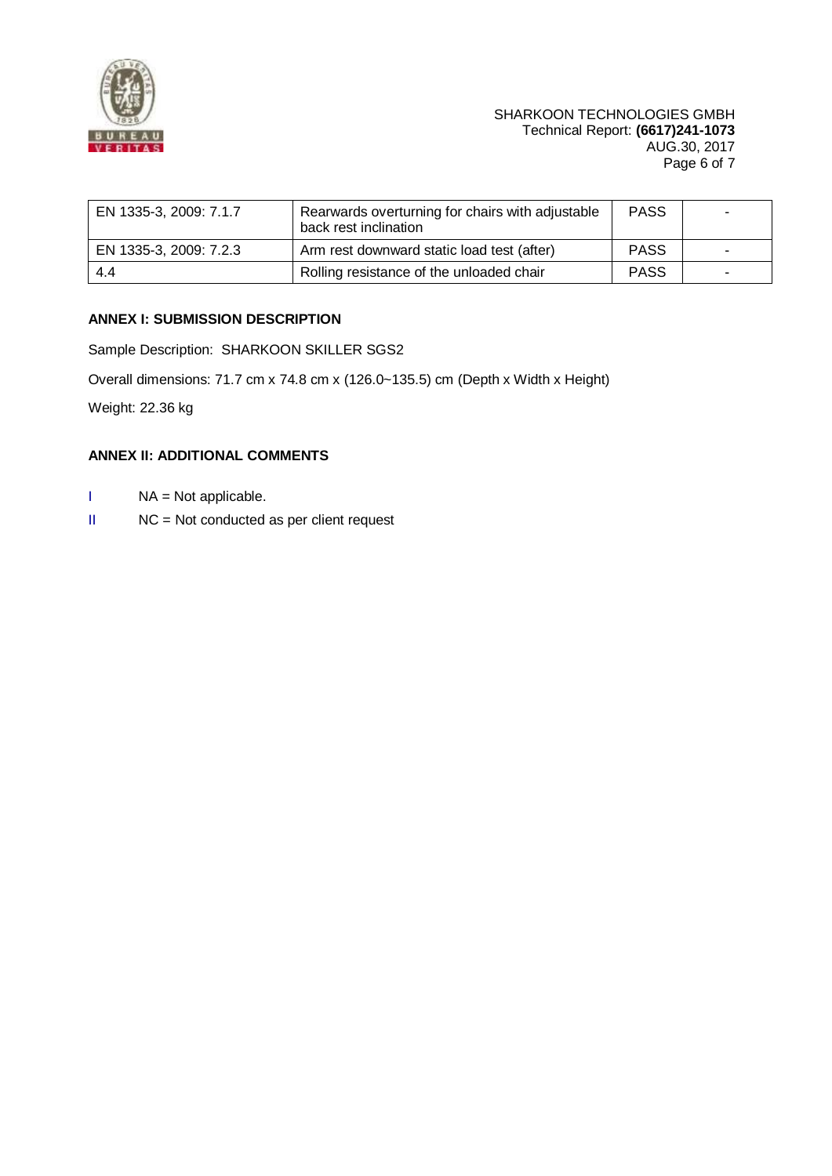

| EN 1335-3, 2009: 7.1.7 | Rearwards overturning for chairs with adjustable<br>back rest inclination | <b>PASS</b> |  |
|------------------------|---------------------------------------------------------------------------|-------------|--|
| EN 1335-3, 2009: 7.2.3 | Arm rest downward static load test (after)                                | <b>PASS</b> |  |
| 4.4                    | Rolling resistance of the unloaded chair                                  | <b>PASS</b> |  |

# **ANNEX I: SUBMISSION DESCRIPTION**

Sample Description: SHARKOON SKILLER SGS2

Overall dimensions: 71.7 cm x 74.8 cm x (126.0~135.5) cm (Depth x Width x Height)

Weight: 22.36 kg

## **ANNEX II: ADDITIONAL COMMENTS**

- I NA = Not applicable.
- II NC = Not conducted as per client request